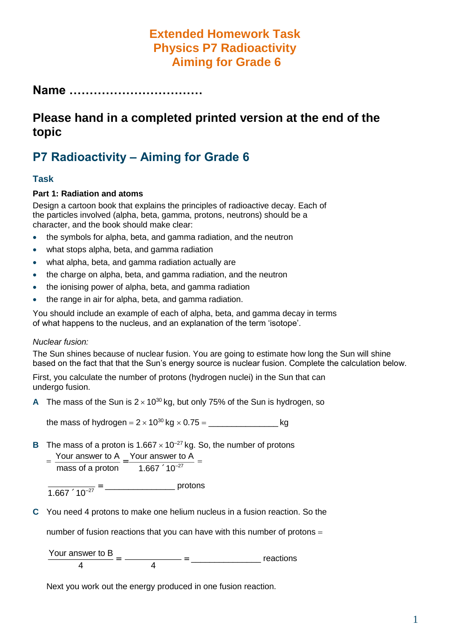## **Extended Homework Task Physics P7 Radioactivity Aiming for Grade 6**

**Name ……………………………**

## **Please hand in a completed printed version at the end of the topic**

# **P7 Radioactivity – Aiming for Grade 6**

#### **Task**

#### **Part 1: Radiation and atoms**

Design a cartoon book that explains the principles of radioactive decay. Each of the particles involved (alpha, beta, gamma, protons, neutrons) should be a character, and the book should make clear:

- the symbols for alpha, beta, and gamma radiation, and the neutron
- what stops alpha, beta, and gamma radiation
- what alpha, beta, and gamma radiation actually are
- the charge on alpha, beta, and gamma radiation, and the neutron
- the ionising power of alpha, beta, and gamma radiation
- the range in air for alpha, beta, and gamma radiation.

You should include an example of each of alpha, beta, and gamma decay in terms of what happens to the nucleus, and an explanation of the term 'isotope'.

#### *Nuclear fusion:*

The Sun shines because of nuclear fusion. You are going to estimate how long the Sun will shine based on the fact that that the Sun's energy source is nuclear fusion. Complete the calculation below.

First, you calculate the number of protons (hydrogen nuclei) in the Sun that can undergo fusion.

**A** The mass of the Sun is  $2 \times 10^{30}$  kg, but only 75% of the Sun is hydrogen, so

the mass of hydrogen =  $2 \times 10^{30}$  kg  $\times$  0.75 =  $\sqrt{25}$  kg

**B** The mass of a proton is  $1.667 \times 10^{-27}$  kg. So, the number of protons

$$
= \frac{\text{Your answer to A}}{\text{mass of a proton}} = \frac{\text{Your answer to A}}{1.667 \cdot 10^{-27}} =
$$

 $\frac{1.667 \cdot 10^{-27}}{2}$  =  $\frac{1.667 \cdot 10^{-27}}{2}$ 

**C** You need 4 protons to make one helium nucleus in a fusion reaction. So the

number of fusion reactions that you can have with this number of protons

Your answer to B  $\frac{4}{4}$  =  $\frac{4}{4}$  =  $\frac{4}{4}$  =  $\frac{4}{4}$  reactions

Next you work out the energy produced in one fusion reaction.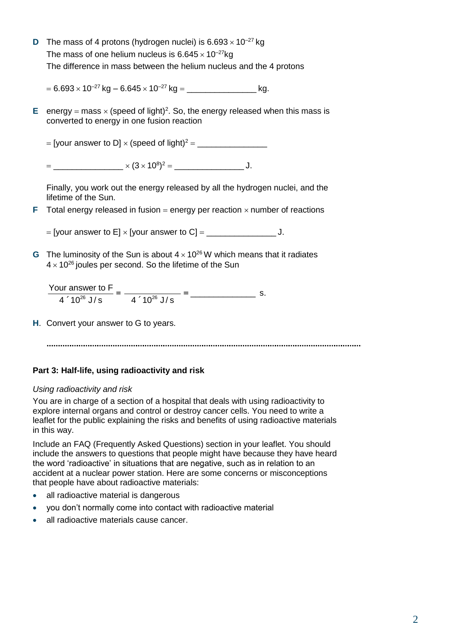**D** The mass of 4 protons (hydrogen nuclei) is  $6.693 \times 10^{-27}$  kg The mass of one helium nucleus is  $6.645 \times 10^{-27}$ kg The difference in mass between the helium nucleus and the 4 protons

6.693 10–27 kg – 6.645 10–27 kg \_\_\_\_\_\_\_\_\_\_\_\_\_\_\_ kg.

**E** energy = mass  $\times$  (speed of light)<sup>2</sup>. So, the energy released when this mass is converted to energy in one fusion reaction

 $=$  [vour answer to D]  $\times$  (speed of light)<sup>2</sup> =

\_\_\_\_\_\_\_\_\_\_\_\_\_\_\_ (3 10<sup>8</sup> ) <sup>2</sup> \_\_\_\_\_\_\_\_\_\_\_\_\_\_\_ J.

Finally, you work out the energy released by all the hydrogen nuclei, and the lifetime of the Sun.

**F** Total energy released in fusion = energy per reaction  $\times$  number of reactions

[your answer to E] [your answer to C] \_\_\_\_\_\_\_\_\_\_\_\_\_\_\_ J.

**G** The luminosity of the Sun is about  $4 \times 10^{26}$  W which means that it radiates  $4 \times 10^{26}$  joules per second. So the lifetime of the Sun

Your answer to F  $4.10^{26}$  J/s  $=$   $\frac{4.10^{26}$  J/s = \_\_\_\_\_\_\_\_\_\_\_\_\_\_ s.

**H**. Convert your answer to G to years.

#### **Part 3: Half-life, using radioactivity and risk**

#### *Using radioactivity and risk*

You are in charge of a section of a hospital that deals with using radioactivity to explore internal organs and control or destroy cancer cells. You need to write a leaflet for the public explaining the risks and benefits of using radioactive materials in this way.

Include an FAQ (Frequently Asked Questions) section in your leaflet. You should include the answers to questions that people might have because they have heard the word 'radioactive' in situations that are negative, such as in relation to an accident at a nuclear power station. Here are some concerns or misconceptions that people have about radioactive materials:

- all radioactive material is dangerous
- you don't normally come into contact with radioactive material
- all radioactive materials cause cancer.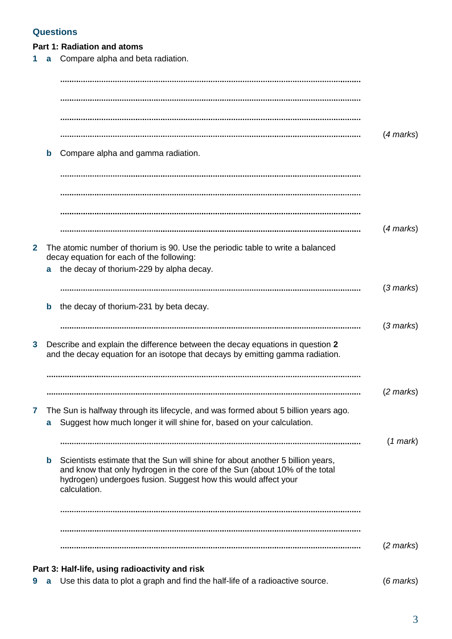### **Questions**

**Part 1: Radiation and atoms**

| 9            | a           | Use this data to plot a graph and find the half-life of a radioactive source.                                                                                                                                                                  | $(6$ marks $)$      |
|--------------|-------------|------------------------------------------------------------------------------------------------------------------------------------------------------------------------------------------------------------------------------------------------|---------------------|
|              |             | Part 3: Half-life, using radioactivity and risk                                                                                                                                                                                                |                     |
|              |             |                                                                                                                                                                                                                                                | $(2 \text{ marks})$ |
|              |             |                                                                                                                                                                                                                                                |                     |
|              | $\mathbf b$ | Scientists estimate that the Sun will shine for about another 5 billion years,<br>and know that only hydrogen in the core of the Sun (about 10% of the total<br>hydrogen) undergoes fusion. Suggest how this would affect your<br>calculation. |                     |
|              |             |                                                                                                                                                                                                                                                | $(1$ mark $)$       |
| 7            | a           | The Sun is halfway through its lifecycle, and was formed about 5 billion years ago.<br>Suggest how much longer it will shine for, based on your calculation.                                                                                   |                     |
|              |             |                                                                                                                                                                                                                                                | $(2 \text{ marks})$ |
|              |             | and the decay equation for an isotope that decays by emitting gamma radiation.                                                                                                                                                                 |                     |
| 3            |             | Describe and explain the difference between the decay equations in question 2                                                                                                                                                                  | $(3 \text{ marks})$ |
|              | $\mathbf b$ | the decay of thorium-231 by beta decay.                                                                                                                                                                                                        |                     |
|              | a           | the decay of thorium-229 by alpha decay.                                                                                                                                                                                                       | $(3$ marks)         |
| $\mathbf{2}$ |             | The atomic number of thorium is 90. Use the periodic table to write a balanced<br>decay equation for each of the following:                                                                                                                    |                     |
|              |             |                                                                                                                                                                                                                                                | $(4$ marks)         |
|              |             |                                                                                                                                                                                                                                                |                     |
|              |             |                                                                                                                                                                                                                                                |                     |
|              | b           | Compare alpha and gamma radiation.                                                                                                                                                                                                             |                     |
|              |             |                                                                                                                                                                                                                                                | $(4$ marks $)$      |
|              |             |                                                                                                                                                                                                                                                |                     |
|              |             |                                                                                                                                                                                                                                                |                     |
| 1            | a           | Compare alpha and beta radiation.                                                                                                                                                                                                              |                     |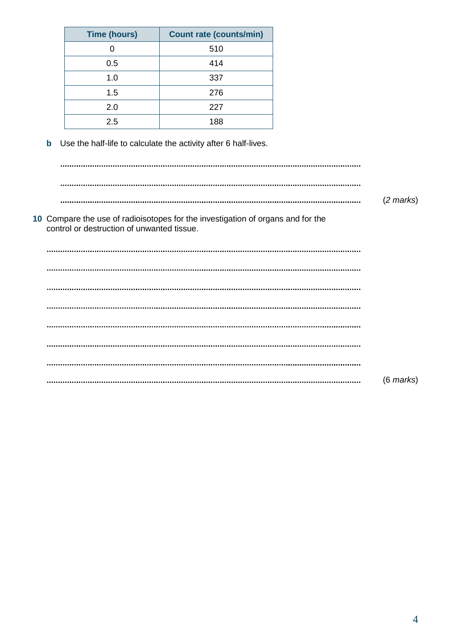| <b>Time (hours)</b>                        | <b>Count rate (counts/min)</b>                                                  |                     |
|--------------------------------------------|---------------------------------------------------------------------------------|---------------------|
| $\mathbf 0$                                | 510                                                                             |                     |
| 0.5                                        | 414                                                                             |                     |
| 1.0                                        | 337                                                                             |                     |
| 1.5                                        | 276                                                                             |                     |
| 2.0                                        | 227                                                                             |                     |
| 2.5                                        | 188                                                                             |                     |
| $\mathbf b$                                | Use the half-life to calculate the activity after 6 half-lives.                 |                     |
|                                            |                                                                                 |                     |
|                                            |                                                                                 | $(2 \text{ marks})$ |
| control or destruction of unwanted tissue. | 10 Compare the use of radioisotopes for the investigation of organs and for the |                     |
|                                            |                                                                                 |                     |
|                                            |                                                                                 |                     |
|                                            |                                                                                 |                     |
|                                            |                                                                                 |                     |
|                                            |                                                                                 |                     |
|                                            |                                                                                 |                     |
|                                            |                                                                                 |                     |
|                                            |                                                                                 | $(6$ marks $)$      |